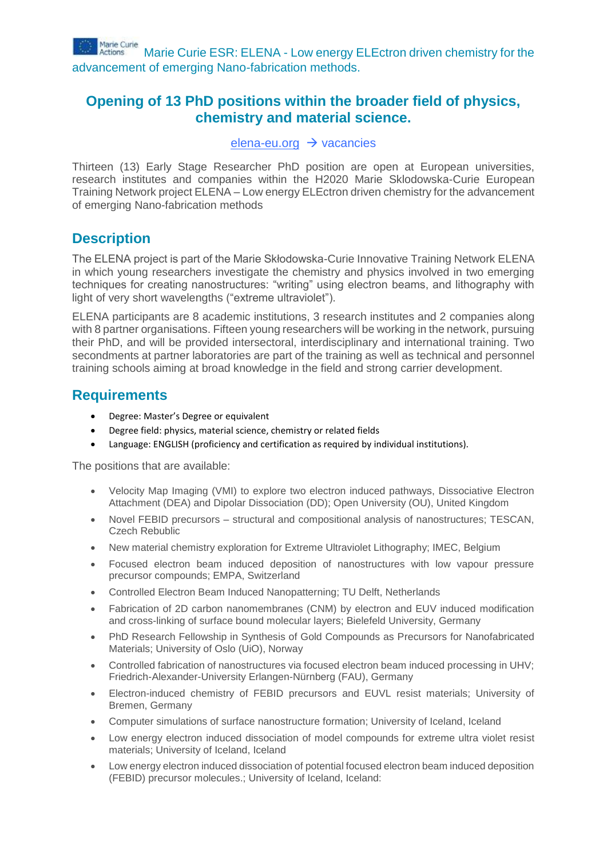

# **Opening of 13 PhD positions within the broader field of physics, chemistry and material science.**

#### [elena-eu.org](http://elena-eu.org/)  $\rightarrow$  vacancies

Thirteen (13) Early Stage Researcher PhD position are open at European universities, research institutes and companies within the H2020 Marie Sklodowska-Curie European Training Network project ELENA – Low energy ELEctron driven chemistry for the advancement of emerging Nano-fabrication methods

## **Description**

The ELENA project is part of the Marie Skłodowska-Curie Innovative Training Network ELENA in which young researchers investigate the chemistry and physics involved in two emerging techniques for creating nanostructures: "writing" using electron beams, and lithography with light of very short wavelengths ("extreme ultraviolet").

ELENA participants are 8 academic institutions, 3 research institutes and 2 companies along with 8 partner organisations. Fifteen young researchers will be working in the network, pursuing their PhD, and will be provided intersectoral, interdisciplinary and international training. Two secondments at partner laboratories are part of the training as well as technical and personnel training schools aiming at broad knowledge in the field and strong carrier development.

# **Requirements**

- Degree: Master's Degree or equivalent
- Degree field: physics, material science, chemistry or related fields
- Language: ENGLISH (proficiency and certification as required by individual institutions).

The positions that are available:

- Velocity Map Imaging (VMI) to explore two electron induced pathways, Dissociative Electron Attachment (DEA) and Dipolar Dissociation (DD); Open University (OU), United Kingdom
- Novel FEBID precursors structural and compositional analysis of nanostructures; TESCAN, Czech Rebublic
- New material chemistry exploration for Extreme Ultraviolet Lithography; IMEC, Belgium
- Focused electron beam induced deposition of nanostructures with low vapour pressure precursor compounds; EMPA, Switzerland
- Controlled Electron Beam Induced Nanopatterning; TU Delft, Netherlands
- Fabrication of 2D carbon nanomembranes (CNM) by electron and EUV induced modification and cross-linking of surface bound molecular layers; Bielefeld University, Germany
- PhD Research Fellowship in Synthesis of Gold Compounds as Precursors for Nanofabricated Materials; University of Oslo (UiO), Norway
- Controlled fabrication of nanostructures via focused electron beam induced processing in UHV; Friedrich-Alexander-University Erlangen-Nürnberg (FAU), Germany
- Electron-induced chemistry of FEBID precursors and EUVL resist materials; University of Bremen, Germany
- Computer simulations of surface nanostructure formation; University of Iceland, Iceland
- Low energy electron induced dissociation of model compounds for extreme ultra violet resist materials; University of Iceland, Iceland
- Low energy electron induced dissociation of potential focused electron beam induced deposition (FEBID) precursor molecules.; University of Iceland, Iceland: